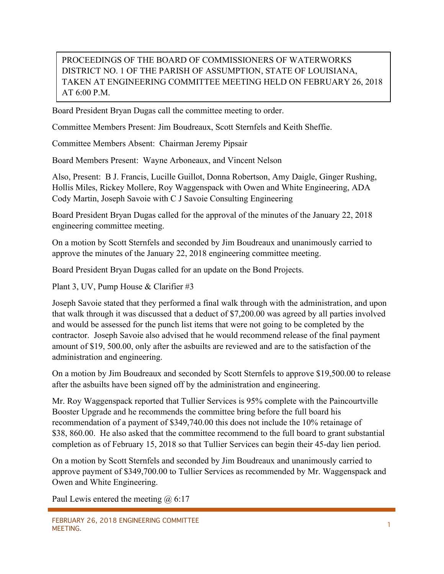## PROCEEDINGS OF THE BOARD OF COMMISSIONERS OF WATERWORKS DISTRICT NO. 1 OF THE PARISH OF ASSUMPTION, STATE OF LOUISIANA, TAKEN AT ENGINEERING COMMITTEE MEETING HELD ON FEBRUARY 26, 2018 AT 6:00 P.M.

Board President Bryan Dugas call the committee meeting to order.

Committee Members Present: Jim Boudreaux, Scott Sternfels and Keith Sheffie.

Committee Members Absent: Chairman Jeremy Pipsair

Board Members Present: Wayne Arboneaux, and Vincent Nelson

Also, Present: B J. Francis, Lucille Guillot, Donna Robertson, Amy Daigle, Ginger Rushing, Hollis Miles, Rickey Mollere, Roy Waggenspack with Owen and White Engineering, ADA Cody Martin, Joseph Savoie with C J Savoie Consulting Engineering

Board President Bryan Dugas called for the approval of the minutes of the January 22, 2018 engineering committee meeting.

On a motion by Scott Sternfels and seconded by Jim Boudreaux and unanimously carried to approve the minutes of the January 22, 2018 engineering committee meeting.

Board President Bryan Dugas called for an update on the Bond Projects.

Plant 3, UV, Pump House & Clarifier #3

Joseph Savoie stated that they performed a final walk through with the administration, and upon that walk through it was discussed that a deduct of \$7,200.00 was agreed by all parties involved and would be assessed for the punch list items that were not going to be completed by the contractor. Joseph Savoie also advised that he would recommend release of the final payment amount of \$19, 500.00, only after the asbuilts are reviewed and are to the satisfaction of the administration and engineering.

On a motion by Jim Boudreaux and seconded by Scott Sternfels to approve \$19,500.00 to release after the asbuilts have been signed off by the administration and engineering.

Mr. Roy Waggenspack reported that Tullier Services is 95% complete with the Paincourtville Booster Upgrade and he recommends the committee bring before the full board his recommendation of a payment of \$349,740.00 this does not include the 10% retainage of \$38, 860.00. He also asked that the committee recommend to the full board to grant substantial completion as of February 15, 2018 so that Tullier Services can begin their 45-day lien period.

On a motion by Scott Sternfels and seconded by Jim Boudreaux and unanimously carried to approve payment of \$349,700.00 to Tullier Services as recommended by Mr. Waggenspack and Owen and White Engineering.

Paul Lewis entered the meeting  $\omega$  6:17